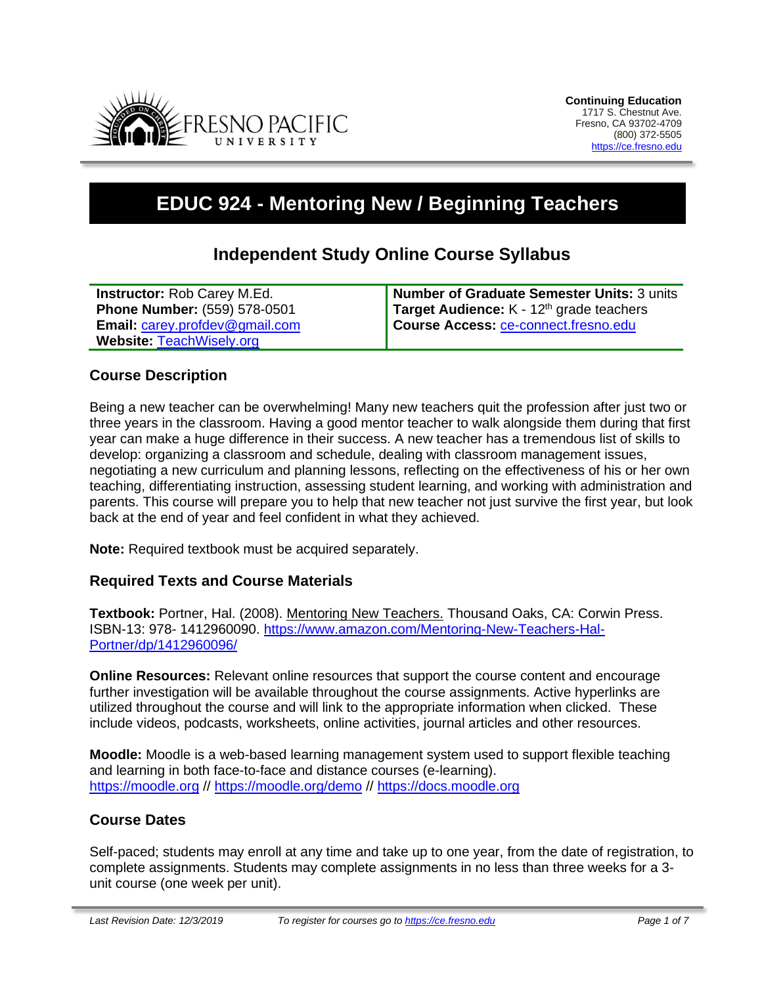

# **EDUC 924 - Mentoring New / Beginning Teachers**

# **Independent Study Online Course Syllabus**

| <b>Instructor:</b> Rob Carey M.Ed.    | Number of Graduate Semester Units: 3 units |
|---------------------------------------|--------------------------------------------|
| <b>Phone Number: (559) 578-0501</b>   | Target Audience: $K - 12th$ grade teachers |
| <b>Email: carey.profdev@gmail.com</b> | Course Access: ce-connect.fresno.edu       |
| Website: TeachWisely.org              |                                            |

#### **Course Description**

Being a new teacher can be overwhelming! Many new teachers quit the profession after just two or three years in the classroom. Having a good mentor teacher to walk alongside them during that first year can make a huge difference in their success. A new teacher has a tremendous list of skills to develop: organizing a classroom and schedule, dealing with classroom management issues, negotiating a new curriculum and planning lessons, reflecting on the effectiveness of his or her own teaching, differentiating instruction, assessing student learning, and working with administration and parents. This course will prepare you to help that new teacher not just survive the first year, but look back at the end of year and feel confident in what they achieved.

**Note:** Required textbook must be acquired separately.

#### **Required Texts and Course Materials**

**Textbook:** Portner, Hal. (2008). Mentoring New Teachers. Thousand Oaks, CA: Corwin Press. ISBN-13: 978- 1412960090. [https://www.amazon.com/Mentoring-New-Teachers-Hal-](https://www.amazon.com/Mentoring-New-Teachers-Hal-Portner/dp/1412960096/)[Portner/dp/1412960096/](https://www.amazon.com/Mentoring-New-Teachers-Hal-Portner/dp/1412960096/)

**Online Resources:** Relevant online resources that support the course content and encourage further investigation will be available throughout the course assignments. Active hyperlinks are utilized throughout the course and will link to the appropriate information when clicked. These include videos, podcasts, worksheets, online activities, journal articles and other resources.

**Moodle:** Moodle is a web-based learning management system used to support flexible teaching and learning in both face-to-face and distance courses (e-learning). [https://moodle.org](https://moodle.org/) // <https://moodle.org/demo> // [https://docs.moodle.org](https://docs.moodle.org/)

#### **Course Dates**

Self-paced; students may enroll at any time and take up to one year, from the date of registration, to complete assignments. Students may complete assignments in no less than three weeks for a 3 unit course (one week per unit).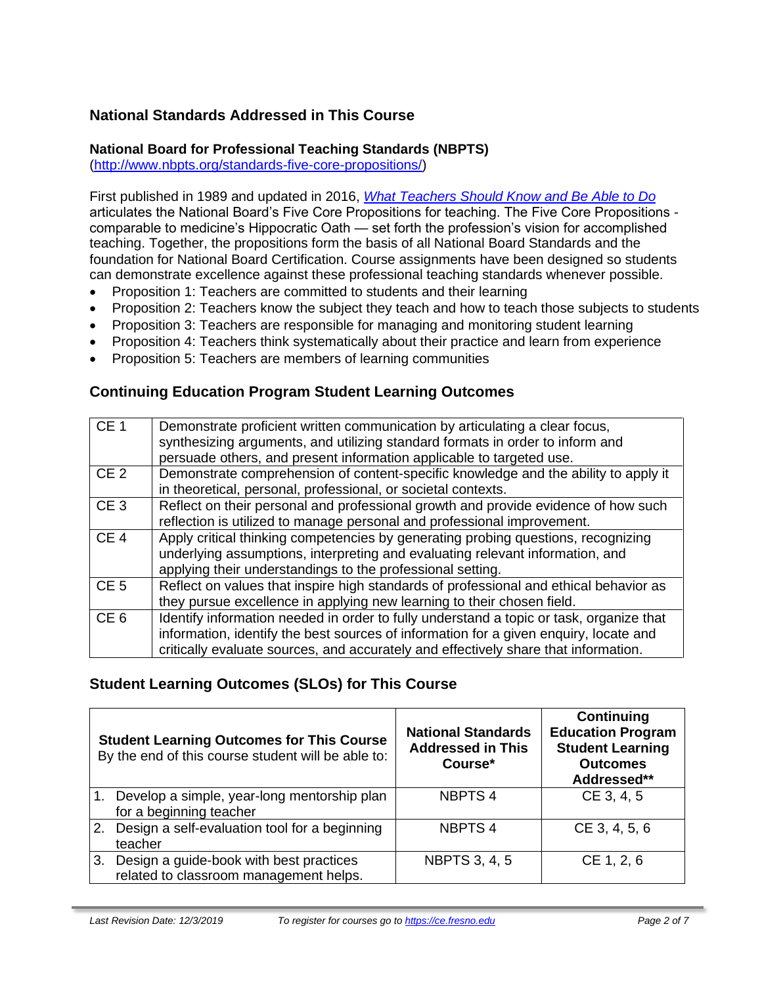# **National Standards Addressed in This Course**

#### **National Board for Professional Teaching Standards (NBPTS)**

[\(http://www.nbpts.org/standards-five-core-propositions/\)](http://www.nbpts.org/standards-five-core-propositions/)

First published in 1989 and updated in 2016, *[What Teachers Should Know and Be Able to Do](http://www.accomplishedteacher.org/)* articulates the National Board's Five Core Propositions for teaching. The Five Core Propositions comparable to medicine's Hippocratic Oath — set forth the profession's vision for accomplished teaching. Together, the propositions form the basis of all National Board Standards and the foundation for National Board Certification. Course assignments have been designed so students can demonstrate excellence against these professional teaching standards whenever possible.

- Proposition 1: Teachers are committed to students and their learning
- Proposition 2: Teachers know the subject they teach and how to teach those subjects to students
- Proposition 3: Teachers are responsible for managing and monitoring student learning
- Proposition 4: Teachers think systematically about their practice and learn from experience
- Proposition 5: Teachers are members of learning communities

### **Continuing Education Program Student Learning Outcomes**

| CE <sub>1</sub> | Demonstrate proficient written communication by articulating a clear focus,             |
|-----------------|-----------------------------------------------------------------------------------------|
|                 | synthesizing arguments, and utilizing standard formats in order to inform and           |
|                 | persuade others, and present information applicable to targeted use.                    |
| CE <sub>2</sub> | Demonstrate comprehension of content-specific knowledge and the ability to apply it     |
|                 | in theoretical, personal, professional, or societal contexts.                           |
| CE <sub>3</sub> | Reflect on their personal and professional growth and provide evidence of how such      |
|                 | reflection is utilized to manage personal and professional improvement.                 |
| CE <sub>4</sub> | Apply critical thinking competencies by generating probing questions, recognizing       |
|                 | underlying assumptions, interpreting and evaluating relevant information, and           |
|                 | applying their understandings to the professional setting.                              |
| CE <sub>5</sub> | Reflect on values that inspire high standards of professional and ethical behavior as   |
|                 | they pursue excellence in applying new learning to their chosen field.                  |
| CE <sub>6</sub> | Identify information needed in order to fully understand a topic or task, organize that |
|                 | information, identify the best sources of information for a given enquiry, locate and   |
|                 | critically evaluate sources, and accurately and effectively share that information.     |

## **Student Learning Outcomes (SLOs) for This Course**

| <b>Student Learning Outcomes for This Course</b><br>By the end of this course student will be able to: |                                                                                      | <b>National Standards</b><br><b>Addressed in This</b><br>Course* | Continuing<br><b>Education Program</b><br><b>Student Learning</b><br><b>Outcomes</b><br>Addressed** |
|--------------------------------------------------------------------------------------------------------|--------------------------------------------------------------------------------------|------------------------------------------------------------------|-----------------------------------------------------------------------------------------------------|
| $\vert$ 1.                                                                                             | Develop a simple, year-long mentorship plan<br>for a beginning teacher               | <b>NBPTS4</b>                                                    | CE 3, 4, 5                                                                                          |
|                                                                                                        | 2. Design a self-evaluation tool for a beginning<br>teacher                          | <b>NBPTS4</b>                                                    | CE 3, 4, 5, 6                                                                                       |
|                                                                                                        | 3. Design a guide-book with best practices<br>related to classroom management helps. | <b>NBPTS 3, 4, 5</b>                                             | CE 1, 2, 6                                                                                          |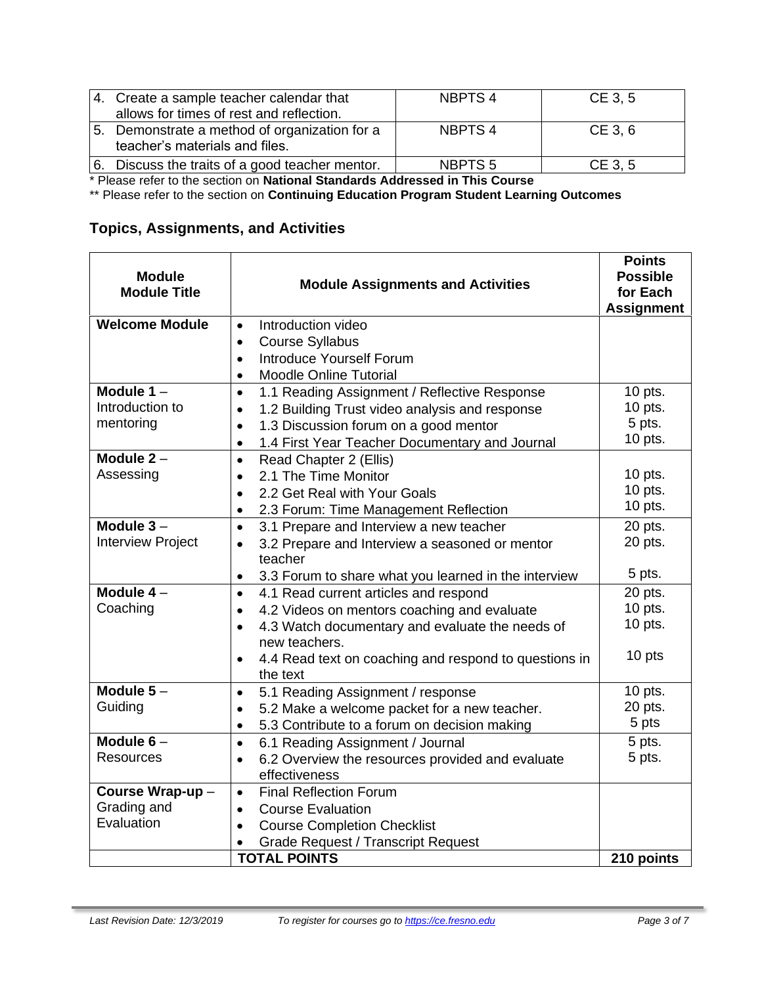| 4. Create a sample teacher calendar that<br>allows for times of rest and reflection. | NBPTS 4            | CE 3, 5 |
|--------------------------------------------------------------------------------------|--------------------|---------|
| 5. Demonstrate a method of organization for a<br>teacher's materials and files.      | NBPTS 4            | CE 3, 6 |
| 6. Discuss the traits of a good teacher mentor.                                      | NBPTS <sub>5</sub> | CE 3, 5 |

\* Please refer to the section on **National Standards Addressed in This Course**

\*\* Please refer to the section on **Continuing Education Program Student Learning Outcomes**

# **Topics, Assignments, and Activities**

| <b>Module</b><br><b>Module Title</b>                          | <b>Module Assignments and Activities</b>                                      | <b>Points</b><br><b>Possible</b><br>for Each<br><b>Assignment</b> |
|---------------------------------------------------------------|-------------------------------------------------------------------------------|-------------------------------------------------------------------|
| <b>Welcome Module</b>                                         | Introduction video<br>$\bullet$                                               |                                                                   |
|                                                               | <b>Course Syllabus</b><br>$\bullet$                                           |                                                                   |
|                                                               | Introduce Yourself Forum<br>$\bullet$                                         |                                                                   |
|                                                               | <b>Moodle Online Tutorial</b><br>$\bullet$                                    |                                                                   |
| Module $1 -$                                                  | 1.1 Reading Assignment / Reflective Response<br>$\bullet$                     |                                                                   |
| Introduction to                                               | 1.2 Building Trust video analysis and response<br>$\bullet$                   | 10 pts.                                                           |
| mentoring                                                     | 1.3 Discussion forum on a good mentor<br>$\bullet$                            | 5 pts.                                                            |
|                                                               | 1.4 First Year Teacher Documentary and Journal<br>$\bullet$                   | $10$ pts.                                                         |
| Module $2 -$                                                  | Read Chapter 2 (Ellis)<br>$\bullet$                                           |                                                                   |
| Assessing                                                     | 2.1 The Time Monitor<br>$\bullet$                                             | $10$ pts.                                                         |
|                                                               | 2.2 Get Real with Your Goals<br>$\bullet$                                     | $10$ pts.                                                         |
|                                                               | 2.3 Forum: Time Management Reflection<br>$\bullet$                            | 10 pts.                                                           |
| Module $3 -$                                                  | 3.1 Prepare and Interview a new teacher<br>$\bullet$                          | 20 pts.                                                           |
| <b>Interview Project</b>                                      | 3.2 Prepare and Interview a seasoned or mentor<br>$\bullet$                   | 20 pts.                                                           |
|                                                               | teacher                                                                       |                                                                   |
|                                                               | 3.3 Forum to share what you learned in the interview<br>$\bullet$             | 5 pts.                                                            |
| Module $4-$                                                   | 4.1 Read current articles and respond<br>$\bullet$                            | 20 pts.                                                           |
| Coaching                                                      | 4.2 Videos on mentors coaching and evaluate<br>$\bullet$                      | 10 pts.                                                           |
|                                                               | 4.3 Watch documentary and evaluate the needs of<br>$\bullet$<br>new teachers. | $10$ pts.                                                         |
|                                                               | 4.4 Read text on coaching and respond to questions in<br>$\bullet$            | 10 pts                                                            |
|                                                               | the text                                                                      |                                                                   |
| Module $5-$                                                   | 5.1 Reading Assignment / response<br>$\bullet$                                | 10 pts.                                                           |
| Guiding                                                       | 5.2 Make a welcome packet for a new teacher.<br>$\bullet$                     | 20 pts.                                                           |
|                                                               | 5.3 Contribute to a forum on decision making<br>$\bullet$                     | 5 pts                                                             |
| Module $6-$                                                   | 6.1 Reading Assignment / Journal<br>$\bullet$                                 | 5 pts.                                                            |
| <b>Resources</b>                                              | 6.2 Overview the resources provided and evaluate<br>$\bullet$                 | 5 pts.                                                            |
|                                                               | effectiveness                                                                 |                                                                   |
| Course Wrap-up-<br><b>Final Reflection Forum</b><br>$\bullet$ |                                                                               |                                                                   |
| Grading and                                                   | <b>Course Evaluation</b><br>$\bullet$                                         |                                                                   |
| Evaluation                                                    | <b>Course Completion Checklist</b><br>$\bullet$                               |                                                                   |
|                                                               | <b>Grade Request / Transcript Request</b>                                     |                                                                   |
|                                                               | <b>TOTAL POINTS</b>                                                           | 210 points                                                        |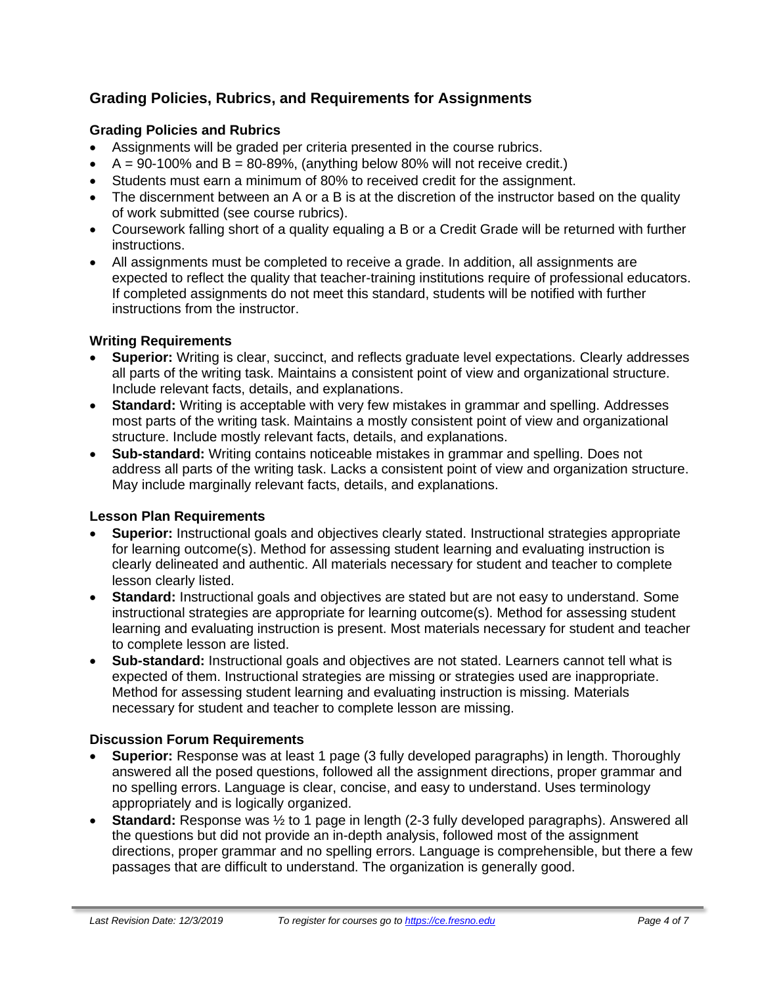# **Grading Policies, Rubrics, and Requirements for Assignments**

#### **Grading Policies and Rubrics**

- Assignments will be graded per criteria presented in the course rubrics.
- $A = 90-100\%$  and  $B = 80-89\%$ , (anything below 80% will not receive credit.)
- Students must earn a minimum of 80% to received credit for the assignment.
- The discernment between an A or a B is at the discretion of the instructor based on the quality of work submitted (see course rubrics).
- Coursework falling short of a quality equaling a B or a Credit Grade will be returned with further instructions.
- All assignments must be completed to receive a grade. In addition, all assignments are expected to reflect the quality that teacher-training institutions require of professional educators. If completed assignments do not meet this standard, students will be notified with further instructions from the instructor.

#### **Writing Requirements**

- **Superior:** Writing is clear, succinct, and reflects graduate level expectations. Clearly addresses all parts of the writing task. Maintains a consistent point of view and organizational structure. Include relevant facts, details, and explanations.
- **Standard:** Writing is acceptable with very few mistakes in grammar and spelling. Addresses most parts of the writing task. Maintains a mostly consistent point of view and organizational structure. Include mostly relevant facts, details, and explanations.
- **Sub-standard:** Writing contains noticeable mistakes in grammar and spelling. Does not address all parts of the writing task. Lacks a consistent point of view and organization structure. May include marginally relevant facts, details, and explanations.

#### **Lesson Plan Requirements**

- **Superior:** Instructional goals and objectives clearly stated. Instructional strategies appropriate for learning outcome(s). Method for assessing student learning and evaluating instruction is clearly delineated and authentic. All materials necessary for student and teacher to complete lesson clearly listed.
- **Standard:** Instructional goals and objectives are stated but are not easy to understand. Some instructional strategies are appropriate for learning outcome(s). Method for assessing student learning and evaluating instruction is present. Most materials necessary for student and teacher to complete lesson are listed.
- **Sub-standard:** Instructional goals and objectives are not stated. Learners cannot tell what is expected of them. Instructional strategies are missing or strategies used are inappropriate. Method for assessing student learning and evaluating instruction is missing. Materials necessary for student and teacher to complete lesson are missing.

#### **Discussion Forum Requirements**

- **Superior:** Response was at least 1 page (3 fully developed paragraphs) in length. Thoroughly answered all the posed questions, followed all the assignment directions, proper grammar and no spelling errors. Language is clear, concise, and easy to understand. Uses terminology appropriately and is logically organized.
- **Standard:** Response was ½ to 1 page in length (2-3 fully developed paragraphs). Answered all the questions but did not provide an in-depth analysis, followed most of the assignment directions, proper grammar and no spelling errors. Language is comprehensible, but there a few passages that are difficult to understand. The organization is generally good.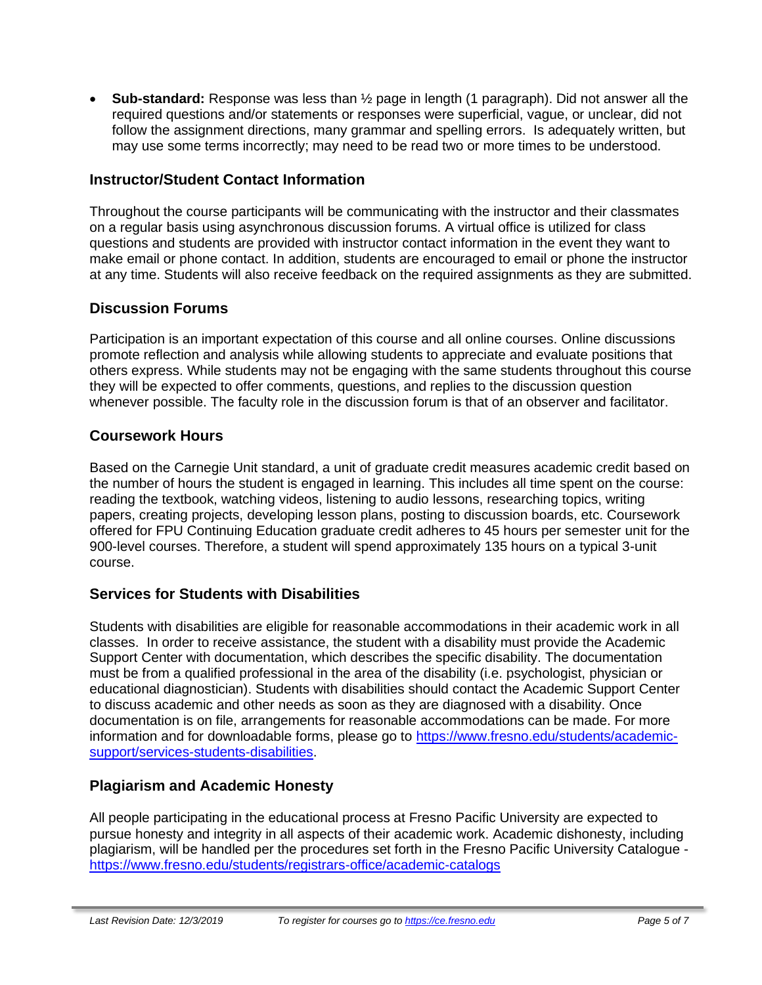• **Sub-standard:** Response was less than ½ page in length (1 paragraph). Did not answer all the required questions and/or statements or responses were superficial, vague, or unclear, did not follow the assignment directions, many grammar and spelling errors. Is adequately written, but may use some terms incorrectly; may need to be read two or more times to be understood.

### **Instructor/Student Contact Information**

Throughout the course participants will be communicating with the instructor and their classmates on a regular basis using asynchronous discussion forums. A virtual office is utilized for class questions and students are provided with instructor contact information in the event they want to make email or phone contact. In addition, students are encouraged to email or phone the instructor at any time. Students will also receive feedback on the required assignments as they are submitted.

#### **Discussion Forums**

Participation is an important expectation of this course and all online courses. Online discussions promote reflection and analysis while allowing students to appreciate and evaluate positions that others express. While students may not be engaging with the same students throughout this course they will be expected to offer comments, questions, and replies to the discussion question whenever possible. The faculty role in the discussion forum is that of an observer and facilitator.

### **Coursework Hours**

Based on the Carnegie Unit standard, a unit of graduate credit measures academic credit based on the number of hours the student is engaged in learning. This includes all time spent on the course: reading the textbook, watching videos, listening to audio lessons, researching topics, writing papers, creating projects, developing lesson plans, posting to discussion boards, etc. Coursework offered for FPU Continuing Education graduate credit adheres to 45 hours per semester unit for the 900-level courses. Therefore, a student will spend approximately 135 hours on a typical 3-unit course.

## **Services for Students with Disabilities**

Students with disabilities are eligible for reasonable accommodations in their academic work in all classes. In order to receive assistance, the student with a disability must provide the Academic Support Center with documentation, which describes the specific disability. The documentation must be from a qualified professional in the area of the disability (i.e. psychologist, physician or educational diagnostician). Students with disabilities should contact the Academic Support Center to discuss academic and other needs as soon as they are diagnosed with a disability. Once documentation is on file, arrangements for reasonable accommodations can be made. For more information and for downloadable forms, please go to [https://www.fresno.edu/students/academic](https://www.fresno.edu/students/academic-support/services-students-disabilities)[support/services-students-disabilities.](https://www.fresno.edu/students/academic-support/services-students-disabilities)

#### **Plagiarism and Academic Honesty**

All people participating in the educational process at Fresno Pacific University are expected to pursue honesty and integrity in all aspects of their academic work. Academic dishonesty, including plagiarism, will be handled per the procedures set forth in the Fresno Pacific University Catalogue <https://www.fresno.edu/students/registrars-office/academic-catalogs>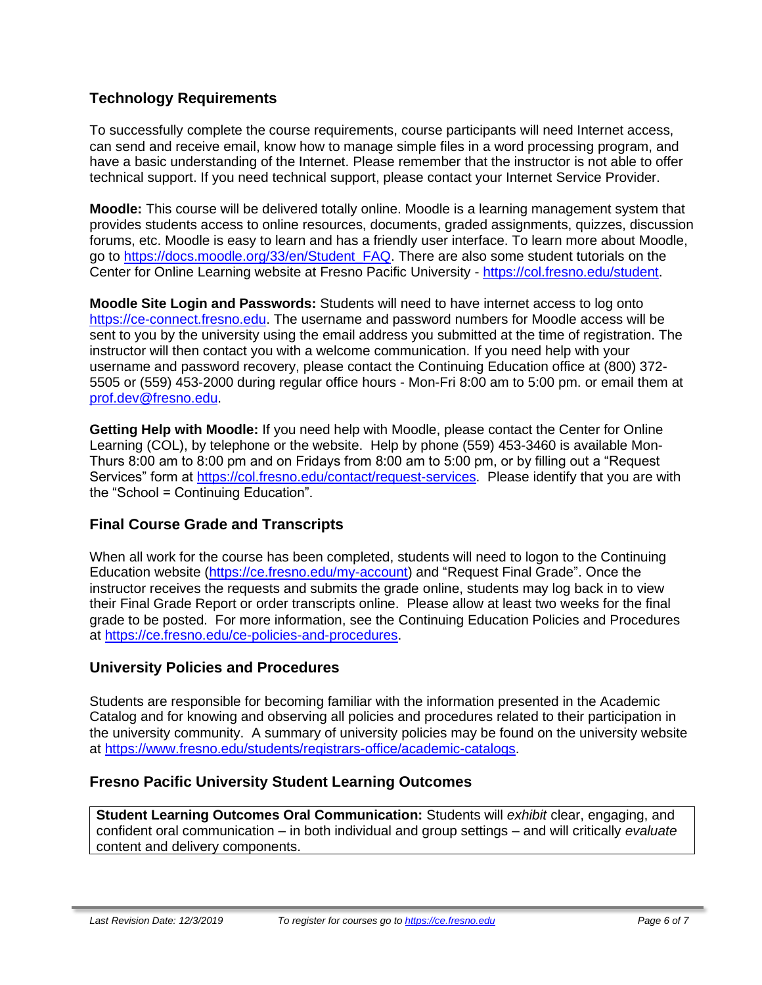### **Technology Requirements**

To successfully complete the course requirements, course participants will need Internet access, can send and receive email, know how to manage simple files in a word processing program, and have a basic understanding of the Internet. Please remember that the instructor is not able to offer technical support. If you need technical support, please contact your Internet Service Provider.

**Moodle:** This course will be delivered totally online. Moodle is a learning management system that provides students access to online resources, documents, graded assignments, quizzes, discussion forums, etc. Moodle is easy to learn and has a friendly user interface. To learn more about Moodle, go to [https://docs.moodle.org/33/en/Student\\_FAQ.](https://docs.moodle.org/33/en/Student_FAQ) There are also some student tutorials on the Center for Online Learning website at Fresno Pacific University - [https://col.fresno.edu/student.](https://col.fresno.edu/student)

**Moodle Site Login and Passwords:** Students will need to have internet access to log onto [https://ce-connect.fresno.edu.](https://ce-connect.fresno.edu/) The username and password numbers for Moodle access will be sent to you by the university using the email address you submitted at the time of registration. The instructor will then contact you with a welcome communication. If you need help with your username and password recovery, please contact the Continuing Education office at (800) 372- 5505 or (559) 453-2000 during regular office hours - Mon-Fri 8:00 am to 5:00 pm. or email them at [prof.dev@fresno.edu.](mailto:prof.dev@fresno.edu)

**Getting Help with Moodle:** If you need help with Moodle, please contact the Center for Online Learning (COL), by telephone or the website. Help by phone (559) 453-3460 is available Mon-Thurs 8:00 am to 8:00 pm and on Fridays from 8:00 am to 5:00 pm, or by filling out a "Request Services" form at [https://col.fresno.edu/contact/request-services.](https://col.fresno.edu/contact/request-services) Please identify that you are with the "School = Continuing Education".

#### **Final Course Grade and Transcripts**

When all work for the course has been completed, students will need to logon to the Continuing Education website [\(https://ce.fresno.edu/my-account\)](https://ce.fresno.edu/my-account) and "Request Final Grade". Once the instructor receives the requests and submits the grade online, students may log back in to view their Final Grade Report or order transcripts online. Please allow at least two weeks for the final grade to be posted. For more information, see the Continuing Education Policies and Procedures at [https://ce.fresno.edu/ce-policies-and-procedures.](https://ce.fresno.edu/ce-policies-and-procedures)

#### **University Policies and Procedures**

Students are responsible for becoming familiar with the information presented in the Academic Catalog and for knowing and observing all policies and procedures related to their participation in the university community. A summary of university policies may be found on the university website at [https://www.fresno.edu/students/registrars-office/academic-catalogs.](https://www.fresno.edu/students/registrars-office/academic-catalogs)

#### **Fresno Pacific University Student Learning Outcomes**

**Student Learning Outcomes Oral Communication:** Students will *exhibit* clear, engaging, and confident oral communication – in both individual and group settings – and will critically *evaluate*  content and delivery components.